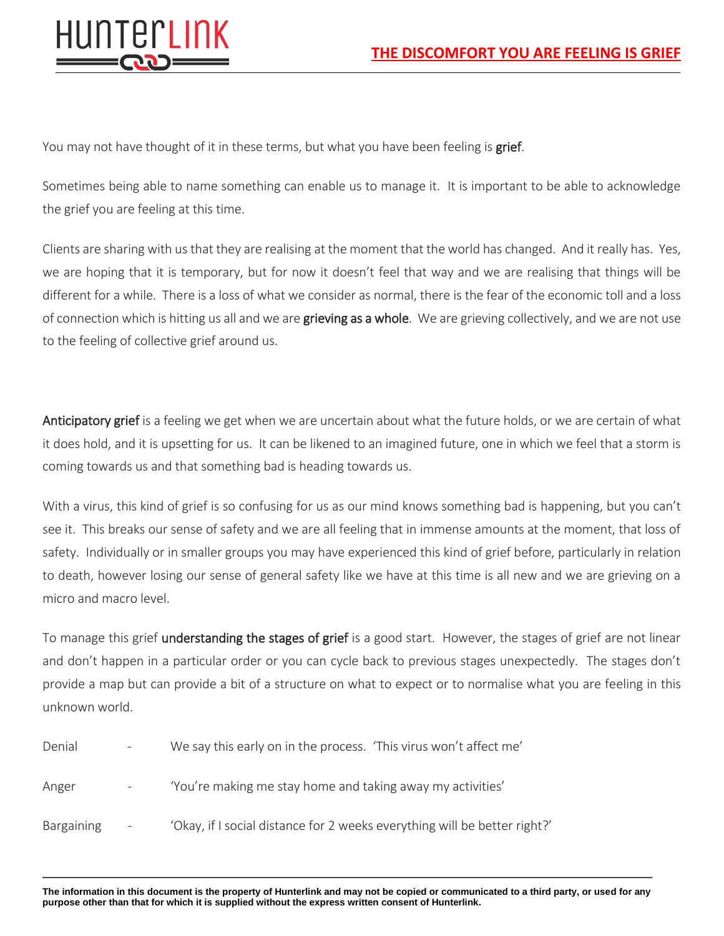

You may not have thought of it in these terms, but what you have been feeling is **grief**.

Sometimes being able to name something can enable us to manage it. It is important to be able to acknowledge the grief you are feeling at this time.

Clients are sharing with us that they are realising at the moment that the world has changed. And it really has. Yes, we are hoping that it is temporary, but for now it doesn't feel that way and we are realising that things will be different for a while. There is a loss of what we consider as normal, there is the fear of the economic toll and a loss of connection which is hitting us all and we are grieving as a whole. We are grieving collectively, and we are not use to the feeling of collective grief around us.

Anticipatory grief is a feeling we get when we are uncertain about what the future holds, or we are certain of what it does hold, and it is upsetting for us. It can be likened to an imagined future, one in which we feel that a storm is coming towards us and that something bad is heading towards us.

With a virus, this kind of grief is so confusing for us as our mind knows something bad is happening, but you can't see it. This breaks our sense of safety and we are all feeling that in immense amounts at the moment, that loss of safety. Individually or in smaller groups you may have experienced this kind of grief before, particularly in relation to death, however losing our sense of general safety like we have at this time is all new and we are grieving on a micro and macro level.

To manage this grief **understanding the stages of grief** is a good start. However, the stages of grief are not linear and don't happen in a particular order or you can cycle back to previous stages unexpectedly. The stages don't provide a map but can provide a bit of a structure on what to expect or to normalise what you are feeling in this unknown world.

| Denial            | $\overline{\phantom{a}}$ | We say this early on in the process. 'This virus won't affect me'         |
|-------------------|--------------------------|---------------------------------------------------------------------------|
| Anger             | $\overline{\phantom{a}}$ | 'You're making me stay home and taking away my activities'                |
| <b>Bargaining</b> | $\overline{\phantom{a}}$ | 'Okay, if I social distance for 2 weeks everything will be better right?' |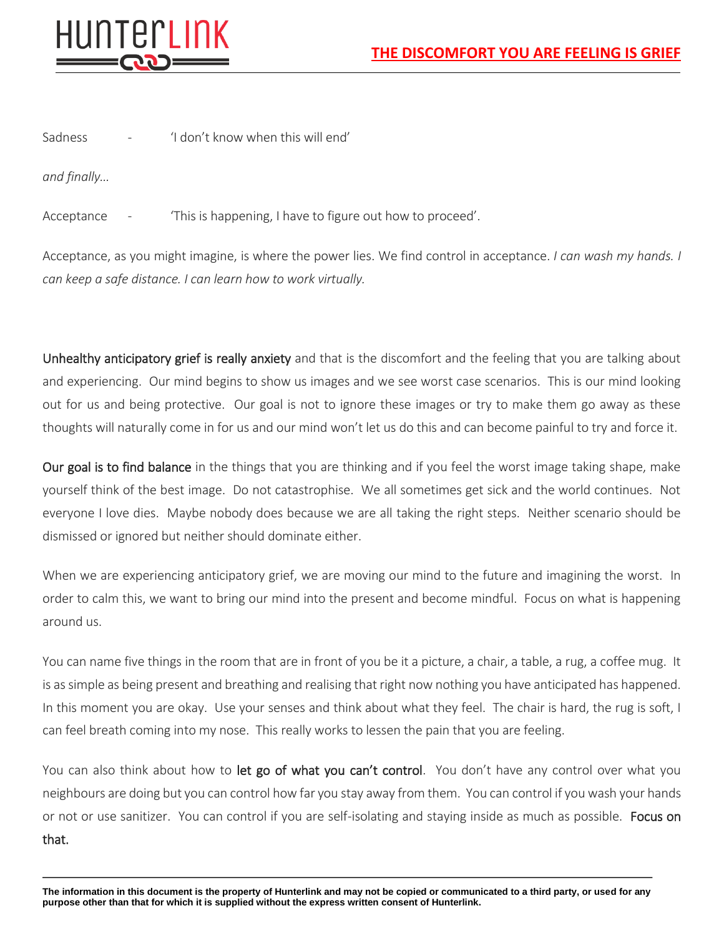

Sadness - 'I don't know when this will end'

*and finally…*

Acceptance - 'This is happening, I have to figure out how to proceed'.

Acceptance, as you might imagine, is where the power lies. We find control in acceptance. *I can wash my hands. I can keep a safe distance. I can learn how to work virtually.*

Unhealthy anticipatory grief is really anxiety and that is the discomfort and the feeling that you are talking about and experiencing. Our mind begins to show us images and we see worst case scenarios. This is our mind looking out for us and being protective. Our goal is not to ignore these images or try to make them go away as these thoughts will naturally come in for us and our mind won't let us do this and can become painful to try and force it.

Our goal is to find balance in the things that you are thinking and if you feel the worst image taking shape, make yourself think of the best image. Do not catastrophise. We all sometimes get sick and the world continues. Not everyone I love dies. Maybe nobody does because we are all taking the right steps. Neither scenario should be dismissed or ignored but neither should dominate either.

When we are experiencing anticipatory grief, we are moving our mind to the future and imagining the worst. In order to calm this, we want to bring our mind into the present and become mindful. Focus on what is happening around us.

You can name five things in the room that are in front of you be it a picture, a chair, a table, a rug, a coffee mug. It is as simple as being present and breathing and realising that right now nothing you have anticipated has happened. In this moment you are okay. Use your senses and think about what they feel. The chair is hard, the rug is soft, I can feel breath coming into my nose. This really works to lessen the pain that you are feeling.

You can also think about how to let go of what you can't control. You don't have any control over what you neighbours are doing but you can control how far you stay away from them. You can control if you wash your hands or not or use sanitizer. You can control if you are self-isolating and staying inside as much as possible. Focus on that.

**The information in this document is the property of Hunterlink and may not be copied or communicated to a third party, or used for any purpose other than that for which it is supplied without the express written consent of Hunterlink.**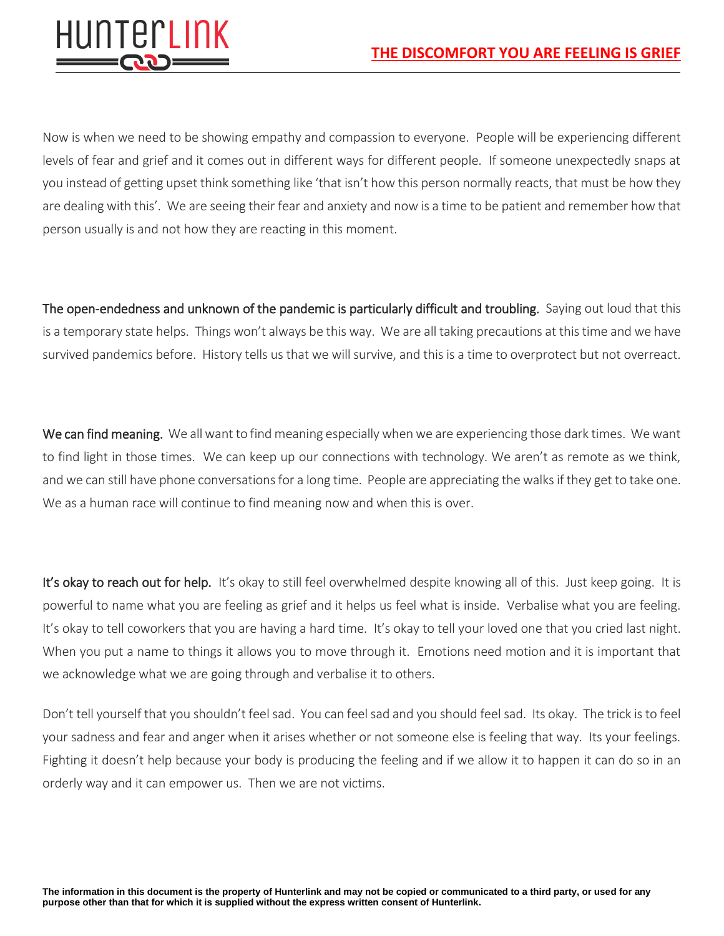

Now is when we need to be showing empathy and compassion to everyone. People will be experiencing different levels of fear and grief and it comes out in different ways for different people. If someone unexpectedly snaps at you instead of getting upset think something like 'that isn't how this person normally reacts, that must be how they are dealing with this'. We are seeing their fear and anxiety and now is a time to be patient and remember how that person usually is and not how they are reacting in this moment.

The open-endedness and unknown of the pandemic is particularly difficult and troubling. Saying out loud that this is a temporary state helps. Things won't always be this way. We are all taking precautions at this time and we have survived pandemics before. History tells us that we will survive, and this is a time to overprotect but not overreact.

We can find meaning. We all want to find meaning especially when we are experiencing those dark times. We want to find light in those times. We can keep up our connections with technology. We aren't as remote as we think, and we can still have phone conversations for a long time. People are appreciating the walks if they get to take one. We as a human race will continue to find meaning now and when this is over.

It's okay to reach out for help. It's okay to still feel overwhelmed despite knowing all of this. Just keep going. It is powerful to name what you are feeling as grief and it helps us feel what is inside. Verbalise what you are feeling. It's okay to tell coworkers that you are having a hard time. It's okay to tell your loved one that you cried last night. When you put a name to things it allows you to move through it. Emotions need motion and it is important that we acknowledge what we are going through and verbalise it to others.

Don't tell yourself that you shouldn't feel sad. You can feel sad and you should feel sad. Its okay. The trick is to feel your sadness and fear and anger when it arises whether or not someone else is feeling that way. Its your feelings. Fighting it doesn't help because your body is producing the feeling and if we allow it to happen it can do so in an orderly way and it can empower us. Then we are not victims.